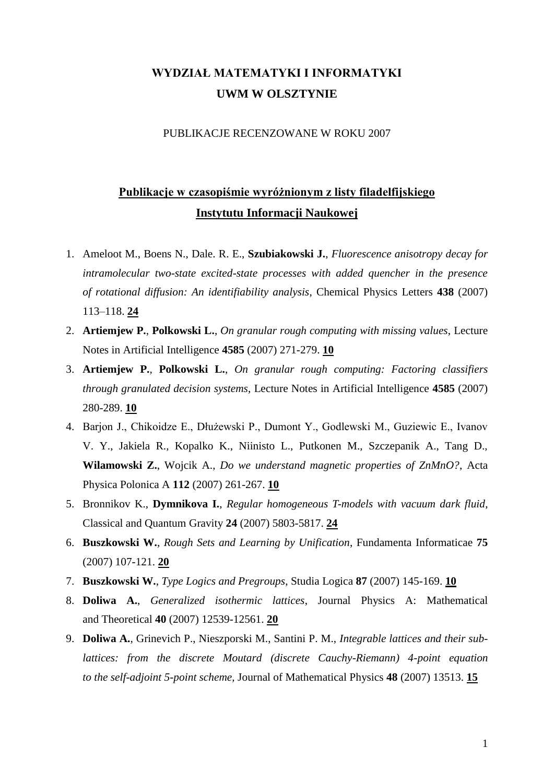# **WYDZIAŁ MATEMATYKI I INFORMATYKI UWM W OLSZTYNIE**

#### PUBLIKACJE RECENZOWANE W ROKU 2007

### **Publikacje w czasopiśmie wyróżnionym z listy filadelfijskiego Instytutu Informacji Naukowej**

- 1. Ameloot M., Boens N., Dale. R. E., **Szubiakowski J.**, *Fluorescence anisotropy decay for intramolecular two-state excited-state processes with added quencher in the presence of rotational diffusion: An identifiability analysis*, Chemical Physics Letters **438** (2007) 113–118. **24**
- 2. **Artiemjew P.**, **Polkowski L.**, *On granular rough computing with missing values*, Lecture Notes in Artificial Intelligence **4585** (2007) 271-279. **10**
- 3. **Artiemjew P.**, **Polkowski L.**, *On granular rough computing: Factoring classifiers through granulated decision systems*, Lecture Notes in Artificial Intelligence **4585** (2007) 280-289. **10**
- 4. Barjon J., Chikoidze E., Dłużewski P., Dumont Y., Godlewski M., Guziewic E., Ivanov V. Y., Jakiela R., Kopalko K., Niinisto L., Putkonen M., Szczepanik A., Tang D., **Wilamowski Z.**, Wojcik A., *Do we understand magnetic properties of ZnMnO?*, Acta Physica Polonica A **112** (2007) 261-267. **10**
- 5. Bronnikov K., **Dymnikova I.**, *Regular homogeneous T-models with vacuum dark fluid*, Classical and Quantum Gravity **24** (2007) 5803-5817. **24**
- 6. **Buszkowski W.**, *Rough Sets and Learning by Unification*, Fundamenta Informaticae **75** (2007) 107-121. **20**
- 7. **Buszkowski W.**, *Type Logics and Pregroups*, Studia Logica **87** (2007) 145-169. **10**
- 8. **Doliwa A.**, *Generalized isothermic lattices*, Journal Physics A: Mathematical and Theoretical **40** (2007) 12539-12561. **20**
- 9. **Doliwa A.**, Grinevich P., Nieszporski M., Santini P. M., *Integrable lattices and their sublattices: from the discrete Moutard (discrete Cauchy-Riemann) 4-point equation to the self-adjoint 5-point scheme*, Journal of Mathematical Physics **48** (2007) 13513. **15**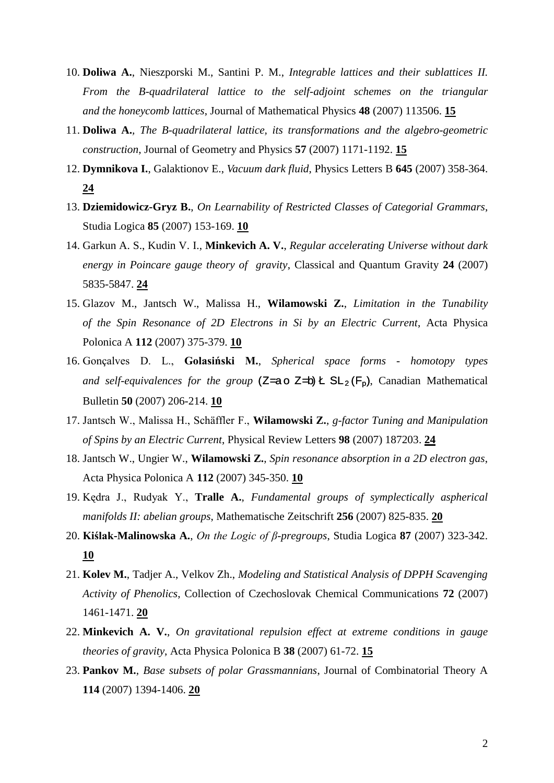- 10. **Doliwa A.**, Nieszporski M., Santini P. M., *Integrable lattices and their sublattices II. From the B-quadrilateral lattice to the self-adjoint schemes on the triangular and the honeycomb lattices*, Journal of Mathematical Physics **48** (2007) 113506. **15**
- 11. **Doliwa A.***, The B-quadrilateral lattice, its transformations and the algebro-geometric construction*, Journal of Geometry and Physics **57** (2007) 1171-1192. **15**
- 12. **Dymnikova I.**, Galaktionov E., *Vacuum dark fluid*, Physics Letters B **645** (2007) 358-364. **24**
- 13. **Dziemidowicz-Gryz B.**, *On Learnability of Restricted Classes of Categorial Grammars*, Studia Logica **85** (2007) 153-169. **10**
- 14. Garkun A. S., Kudin V. I., **Minkevich A. V.**, *Regular accelerating Universe without dark energy in Poincare gauge theory of gravity*, Classical and Quantum Gravity **24** (2007) 5835-5847. **24**
- 15. Glazov M., Jantsch W., Malissa H., **Wilamowski Z.**, *Limitation in the Tunability of the Spin Resonance of 2D Electrons in Si by an Electric Current*, Acta Physica Polonica A **112** (2007) 375-379. **10**
- 16. Gonçalves D. L., **Golasiński M.**, *Spherical space forms - homotopy types and self-equivalences for the group* ( $Z=a \circ Z=b$ )  $k \operatorname{SL}_2(F_p)$ , Canadian Mathematical Bulletin **50** (2007) 206-214. **10**
- 17. Jantsch W., Malissa H., Schäffler F., **Wilamowski Z.**, *g-factor Tuning and Manipulation of Spins by an Electric Current*, Physical Review Letters **98** (2007) 187203. **24**
- 18. Jantsch W., Ungier W., **Wilamowski Z.**, *Spin resonance absorption in a 2D electron gas*, Acta Physica Polonica A **112** (2007) 345-350. **10**
- 19. Kędra J., Rudyak Y., **Tralle A.**, *Fundamental groups of symplectically aspherical manifolds II: abelian groups*, Mathematische Zeitschrift **256** (2007) 825-835. **20**
- 20. **Kiślak-Malinowska A.**, *On the Logic of β-pregroups*, Studia Logica **87** (2007) 323-342. **10**
- 21. **Kolev M.**, Tadjer A., Velkov Zh., *Modeling and Statistical Analysis of DPPH Scavenging Activity of Phenolics*, Collection of Czechoslovak Chemical Communications **72** (2007) 1461-1471. **20**
- 22. **Minkevich A. V.**, *On gravitational repulsion effect at extreme conditions in gauge theories of gravity*, Acta Physica Polonica B **38** (2007) 61-72. **15**
- 23. **Pankov M.**, *Base subsets of polar Grassmannians*, Journal of Combinatorial Theory A **114** (2007) 1394-1406. **20**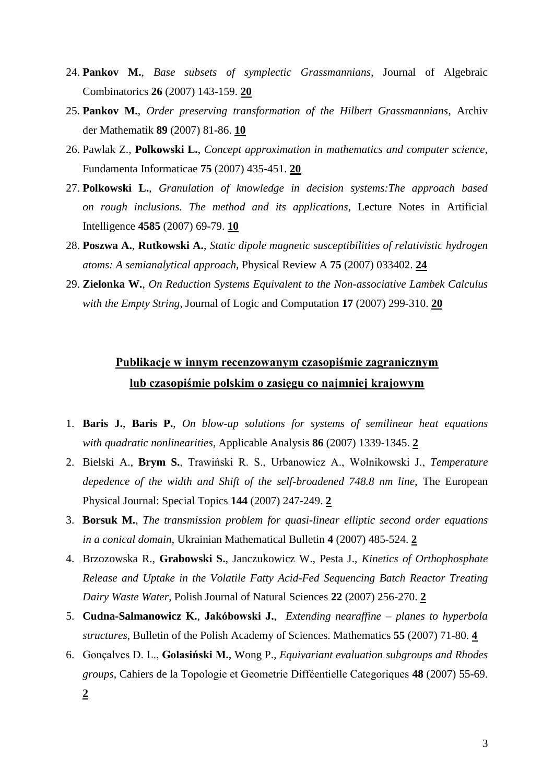- 24. **Pankov M.**, *Base subsets of symplectic Grassmannians*, Journal of Algebraic Combinatorics **26** (2007) 143-159. **20**
- 25. **Pankov M.**, *Order preserving transformation of the Hilbert Grassmannians*, Archiv der Mathematik **89** (2007) 81-86. **10**
- 26. Pawlak Z., **Polkowski L.**, *Concept approximation in mathematics and computer science*, Fundamenta Informaticae **75** (2007) 435-451. **20**
- 27. **Polkowski L.**, *Granulation of knowledge in decision systems:The approach based on rough inclusions. The method and its applications*, Lecture Notes in Artificial Intelligence **4585** (2007) 69-79. **10**
- 28. **Poszwa A.**, **Rutkowski A.**, *Static dipole magnetic susceptibilities of relativistic hydrogen atoms: A semianalytical approach*, Physical Review A **75** (2007) 033402. **24**
- 29. **Zielonka W.**, *On Reduction Systems Equivalent to the Non-associative Lambek Calculus with the Empty String*, Journal of Logic and Computation **17** (2007) 299-310. **20**

# **Publikacje w innym recenzowanym czasopiśmie zagranicznym lub czasopiśmie polskim o zasięgu co najmniej krajowym**

- 1. **Baris J.**, **Baris P.**, *On blow-up solutions for systems of semilinear heat equations with quadratic nonlinearities*, Applicable Analysis **86** (2007) 1339-1345. **2**
- 2. Bielski A., **Brym S.**, Trawiński R. S., Urbanowicz A., Wolnikowski J., *Temperature depedence of the width and Shift of the self-broadened 748.8 nm line*, The European Physical Journal: Special Topics **144** (2007) 247-249. **2**
- 3. **Borsuk M.**, *The transmission problem for quasi-linear elliptic second order equations in a conical domain*, Ukrainian Mathematical Bulletin **4** (2007) 485-524. **2**
- 4. Brzozowska R., **Grabowski S.**, Janczukowicz W., Pesta J., *Kinetics of Orthophosphate Release and Uptake in the Volatile Fatty Acid-Fed Sequencing Batch Reactor Treating Dairy Waste Water*, Polish Journal of Natural Sciences **22** (2007) 256-270. **2**
- 5. **Cudna-Salmanowicz K.**, **Jakóbowski J.**, *Extending nearaffine – planes to hyperbola structures*, Bulletin of the Polish Academy of Sciences. Mathematics **55** (2007) 71-80. **4**
- 6. Gonçalves D. L., **Golasiński M.**, Wong P., *Equivariant evaluation subgroups and Rhodes groups*, Cahiers de la Topologie et Geometrie Difféentielle Categoriques **48** (2007) 55-69. **2**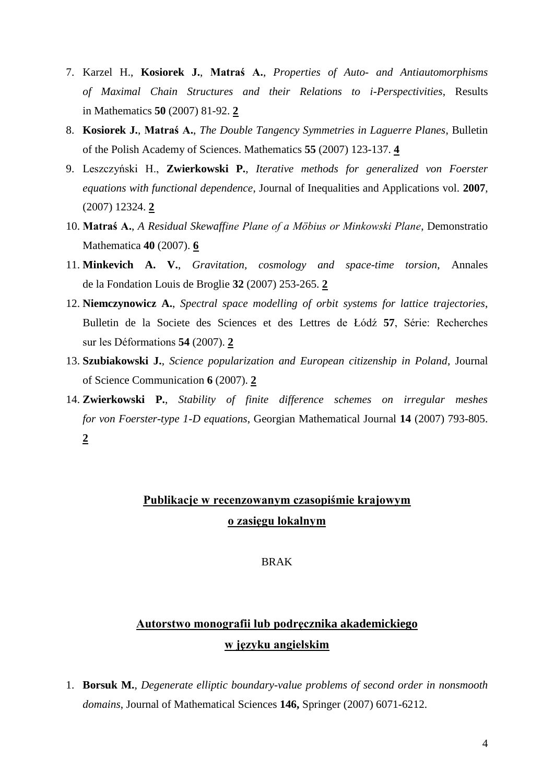- 7. Karzel H., **Kosiorek J.**, **Matraś A.**, *Properties of Auto- and Antiautomorphisms of Maximal Chain Structures and their Relations to i-Perspectivities*, Results in Mathematics **50** (2007) 81-92. **2**
- 8. **Kosiorek J.**, **Matraś A.**, *The Double Tangency Symmetries in Laguerre Planes*, Bulletin of the Polish Academy of Sciences. Mathematics **55** (2007) 123-137. **4**
- 9. Leszczyński H., **Zwierkowski P.**, *Iterative methods for generalized von Foerster equations with functional dependence*, Journal of Inequalities and Applications vol. **2007**, (2007) 12324. **2**
- 10. **Matraś A.**, *A Residual Skewaffine Plane of a Möbius or Minkowski Plane*, Demonstratio Mathematica **40** (2007). **6**
- 11. **Minkevich A. V.**, *Gravitation, cosmology and space-time torsion*, Annales de la Fondation Louis de Broglie **32** (2007) 253-265. **2**
- 12. **Niemczynowicz A.**, *Spectral space modelling of orbit systems for lattice trajectories*, Bulletin de la Societe des Sciences et des Lettres de Łódź **57**, Série: Recherches sur les Déformations **54** (2007). **2**
- 13. **Szubiakowski J.**, *Science popularization and European citizenship in Poland*, Journal of Science Communication **6** (2007). **2**
- 14. **Zwierkowski P.**, *Stability of finite difference schemes on irregular meshes for von Foerster-type 1-D equations*, Georgian Mathematical Journal **14** (2007) 793-805. **2**

### **Publikacje w recenzowanym czasopiśmie krajowym o zasięgu lokalnym**

#### BRAK

# **Autorstwo monografii lub podręcznika akademickiego w języku angielskim**

1. **Borsuk M.**, *Degenerate elliptic boundary-value problems of second order in nonsmooth domains*, Journal of Mathematical Sciences **146,** Springer (2007) 6071-6212.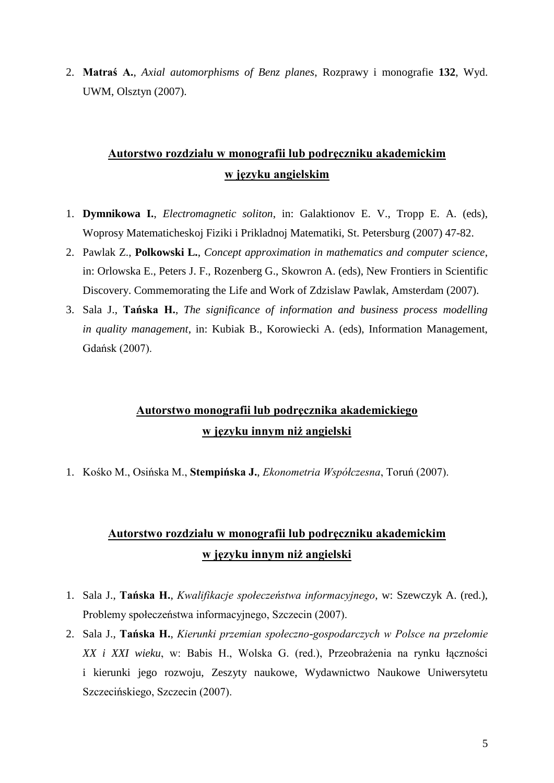2. **Matraś A.**, *Axial automorphisms of Benz planes*, Rozprawy i monografie **132**, Wyd. UWM, Olsztyn (2007).

# **Autorstwo rozdziału w monografii lub podręczniku akademickim w języku angielskim**

- 1. **Dymnikowa I.**, *Electromagnetic soliton*, in: Galaktionov E. V., Tropp E. A. (eds), Woprosy Matematicheskoj Fiziki i Prikladnoj Matematiki, St. Petersburg (2007) 47-82.
- 2. Pawlak Z., **Polkowski L.**, *Concept approximation in mathematics and computer science*, in: Orlowska E., Peters J. F., [Rozenberg](http://www.iospress.nl/html/auth_4010.php) G., Skowron A. (eds), New Frontiers in Scientific Discovery. Commemorating the Life and Work of Zdzislaw Pawlak, Amsterdam (2007).
- 3. Sala J., **Tańska H.**, *The significance of information and business process modelling in quality management*, in: Kubiak B., Korowiecki A. (eds), Information Management, Gdańsk (2007).

### **Autorstwo monografii lub podręcznika akademickiego w języku innym niż angielski**

1. Kośko M., Osińska M., **Stempińska J.**, *Ekonometria Współczesna*, Toruń (2007).

# **Autorstwo rozdziału w monografii lub podręczniku akademickim w języku innym niż angielski**

- 1. Sala J., **Tańska H.**, *Kwalifikacje społeczeństwa informacyjnego*, w: Szewczyk A. (red.), Problemy społeczeństwa informacyjnego, Szczecin (2007).
- 2. Sala J., **Tańska H.**, *Kierunki przemian społeczno-gospodarczych w Polsce na przełomie XX i XXI wieku*, w: Babis H., Wolska G. (red.), Przeobrażenia na rynku łączności i kierunki jego rozwoju, Zeszyty naukowe, Wydawnictwo Naukowe Uniwersytetu Szczecińskiego, Szczecin (2007).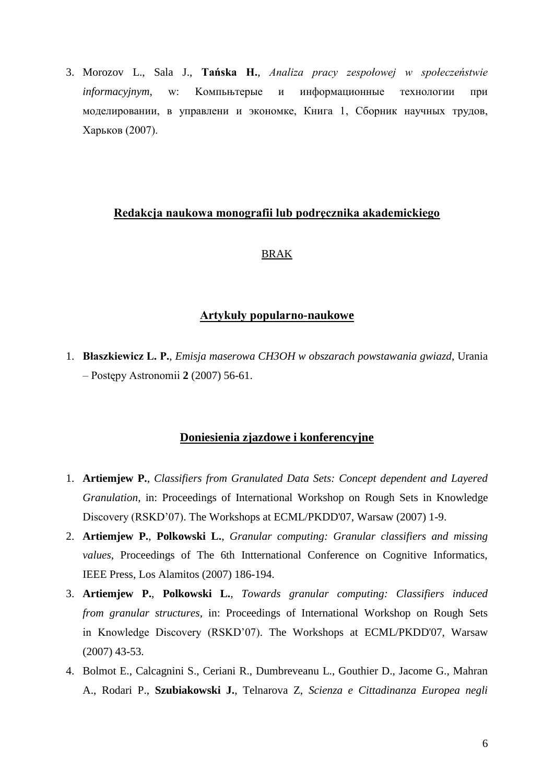3. Morozov L., Sala J., **Tańska H.**, *Analiza pracy zespołowej w społeczeństwie informacyjnym*, w: Koмпьњтерые и информационные технологии при моделировании, в управлени и экономке, Книга 1, Сборник научных трудов, Харьков (2007).

#### **Redakcja naukowa monografii lub podręcznika akademickiego**

#### BRAK

#### **Artykuły popularno-naukowe**

1. **Błaszkiewicz L. P.**, *[Emisja maserowa CH3OH w obszarach powstawania gwiazd](http://postepy.camk.edu.pl/upa2_2007a.html)*, Urania – Postępy Astronomii **2** (2007) 56-61.

#### **Doniesienia zjazdowe i konferencyjne**

- 1. **Artiemjew P.**, *Classifiers from Granulated Data Sets: Concept dependent and Layered Granulation*, in: Proceedings of International Workshop on Rough Sets in Knowledge Discovery (RSKD'07). The Workshops at ECML/PKDD'07, Warsaw (2007) 1-9.
- 2. **Artiemjew P.**, **Polkowski L.**, *Granular computing: Granular classifiers and missing values*, Proceedings of The 6th Intternational Conference on Cognitive Informatics, IEEE Press, Los Alamitos (2007) 186-194.
- 3. **Artiemjew P.**, **Polkowski L.**, *Towards granular computing: Classifiers induced from granular structures*, in: Proceedings of International Workshop on Rough Sets in Knowledge Discovery (RSKD'07). The Workshops at ECML/PKDD'07, Warsaw (2007) 43-53.
- 4. Bolmot E., Calcagnini S., Ceriani R., Dumbreveanu L., Gouthier D., Jacome G., Mahran A., Rodari P., **Szubiakowski J.**, Telnarova Z, *Scienza e Cittadinanza Europea negli*